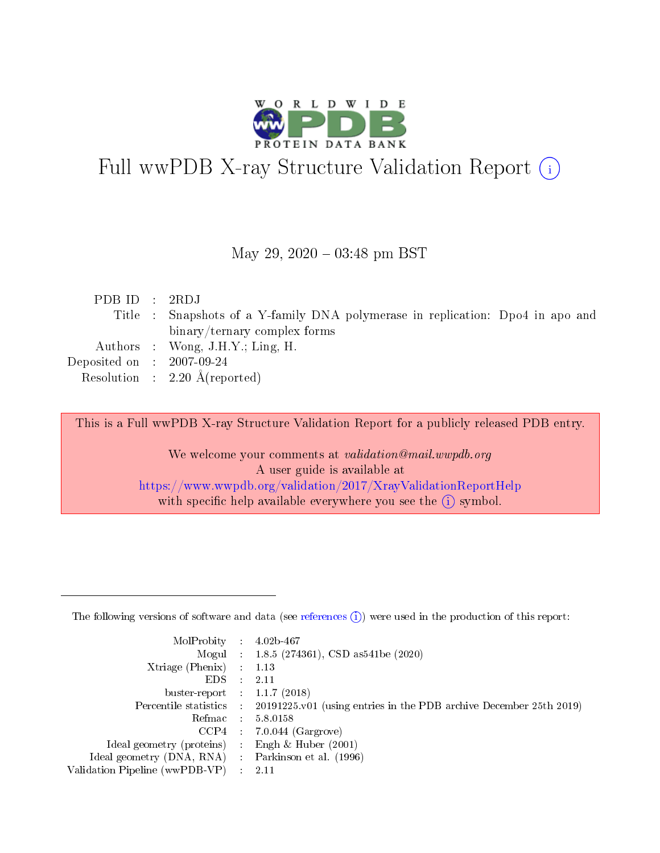

## Full wwPDB X-ray Structure Validation Report (i)

#### May 29,  $2020 - 03:48$  pm BST

| PDBID : 2RDJ                |                                                                                |
|-----------------------------|--------------------------------------------------------------------------------|
|                             | Title : Snapshots of a Y-family DNA polymerase in replication: Dpo4 in apo and |
|                             | binary/ternary complex forms                                                   |
|                             | Authors : Wong, $J.H.Y.; Ling, H.$                                             |
| Deposited on : $2007-09-24$ |                                                                                |
|                             | Resolution : $2.20 \text{ Å}$ (reported)                                       |
|                             |                                                                                |

This is a Full wwPDB X-ray Structure Validation Report for a publicly released PDB entry.

We welcome your comments at validation@mail.wwpdb.org A user guide is available at <https://www.wwpdb.org/validation/2017/XrayValidationReportHelp> with specific help available everywhere you see the  $(i)$  symbol.

The following versions of software and data (see [references](https://www.wwpdb.org/validation/2017/XrayValidationReportHelp#references)  $(1)$ ) were used in the production of this report:

| MolProbity                     | $\mathcal{L}_{\rm{max}}$ | $4.02b - 467$                                                                |
|--------------------------------|--------------------------|------------------------------------------------------------------------------|
|                                |                          | Mogul : $1.8.5$ (274361), CSD as 541be (2020)                                |
| $X$ triage (Phenix) :          |                          | 1.13                                                                         |
| EDS.                           |                          | 2.11                                                                         |
| buster-report : $1.1.7$ (2018) |                          |                                                                              |
| Percentile statistics :        |                          | $20191225 \text{ v}01$ (using entries in the PDB archive December 25th 2019) |
| Refmac                         |                          | 5.8.0158                                                                     |
| $CCP4$ :                       |                          | $7.0.044$ (Gargrove)                                                         |
| Ideal geometry (proteins) :    |                          | Engh $\&$ Huber (2001)                                                       |
| Ideal geometry (DNA, RNA) :    |                          | Parkinson et al. (1996)                                                      |
| Validation Pipeline (wwPDB-VP) | $\mathcal{L}$            | -2.11                                                                        |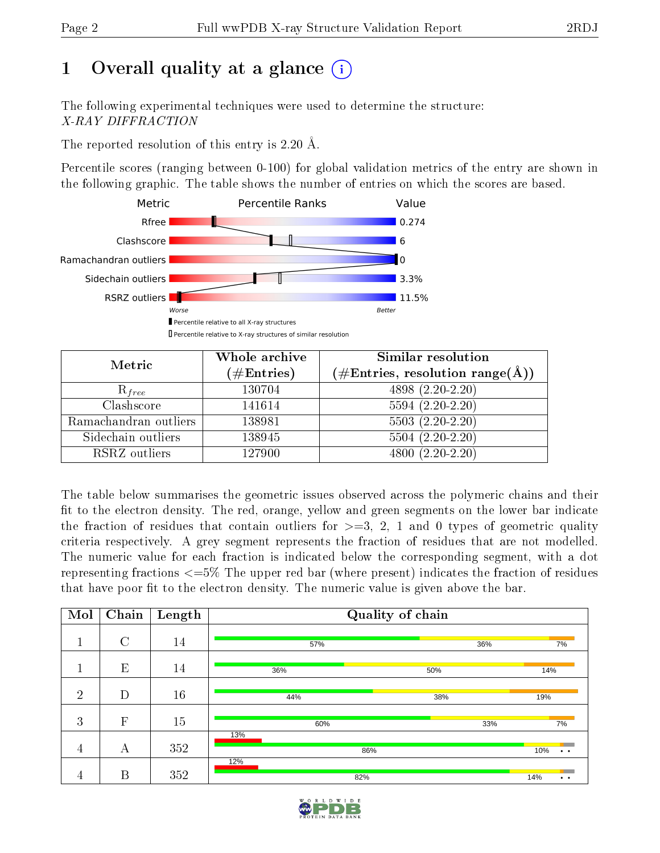## 1 [O](https://www.wwpdb.org/validation/2017/XrayValidationReportHelp#overall_quality)verall quality at a glance  $(i)$

The following experimental techniques were used to determine the structure: X-RAY DIFFRACTION

The reported resolution of this entry is 2.20 Å.

Percentile scores (ranging between 0-100) for global validation metrics of the entry are shown in the following graphic. The table shows the number of entries on which the scores are based.



| Metric                | Whole archive        | Similar resolution                                                     |
|-----------------------|----------------------|------------------------------------------------------------------------|
|                       | $(\#\text{Entries})$ | $(\#\text{Entries},\,\text{resolution}\,\,\text{range}(\textup{\AA}))$ |
| $R_{free}$            | 130704               | 4898 (2.20-2.20)                                                       |
| Clashscore            | 141614               | $5594(2.20-2.20)$                                                      |
| Ramachandran outliers | 138981               | $5503(2.20-2.20)$                                                      |
| Sidechain outliers    | 138945               | $5504(2.20-2.20)$                                                      |
| RSRZ outliers         | 127900               | $4800(2.20-2.20)$                                                      |

The table below summarises the geometric issues observed across the polymeric chains and their fit to the electron density. The red, orange, yellow and green segments on the lower bar indicate the fraction of residues that contain outliers for  $\geq=3$ , 2, 1 and 0 types of geometric quality criteria respectively. A grey segment represents the fraction of residues that are not modelled. The numeric value for each fraction is indicated below the corresponding segment, with a dot representing fractions  $\epsilon=5\%$  The upper red bar (where present) indicates the fraction of residues that have poor fit to the electron density. The numeric value is given above the bar.

| Mol            | Chain         | Length | Quality of chain |     |                             |  |  |  |  |
|----------------|---------------|--------|------------------|-----|-----------------------------|--|--|--|--|
| п              | $\mathcal{C}$ | 14     | 57%              | 36% | 7%                          |  |  |  |  |
|                | E             | 14     | 36%              | 50% | 14%                         |  |  |  |  |
| $\overline{2}$ | D             | 16     | 44%              | 38% | 19%                         |  |  |  |  |
| 3              | $\mathbf{F}$  | 15     | 60%              | 33% | 7%                          |  |  |  |  |
| $\overline{4}$ | А             | 352    | 13%<br>86%       |     | 10%<br>$\ddot{\phantom{a}}$ |  |  |  |  |
| 4              | B             | 352    | 12%<br>82%       |     | 14%<br>$\bullet$            |  |  |  |  |

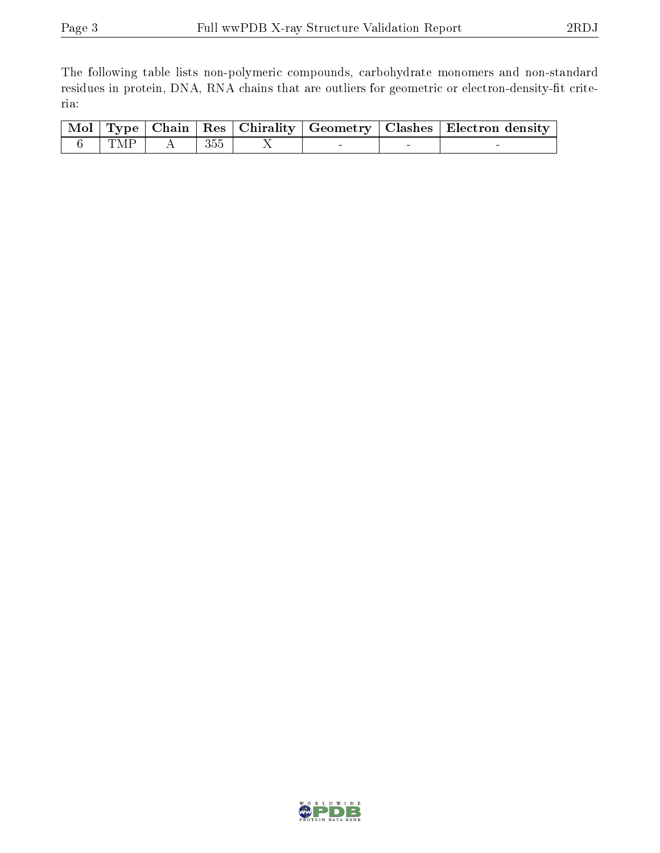The following table lists non-polymeric compounds, carbohydrate monomers and non-standard residues in protein, DNA, RNA chains that are outliers for geometric or electron-density-fit criteria:

|  |                                                                                                            |  |  | $\overline{\mid \text{Mol} \mid \text{Type} \mid}$ Chain $\mid \text{Res} \mid$ Chirality $\mid$ Geometry $\mid$ Clashes $\mid$ Electron density |
|--|------------------------------------------------------------------------------------------------------------|--|--|--------------------------------------------------------------------------------------------------------------------------------------------------|
|  | $\begin{array}{ c c c c c c } \hline \hspace{.16cm}6 & & \text{TMP} & A & \text{ }355\ \hline \end{array}$ |  |  |                                                                                                                                                  |

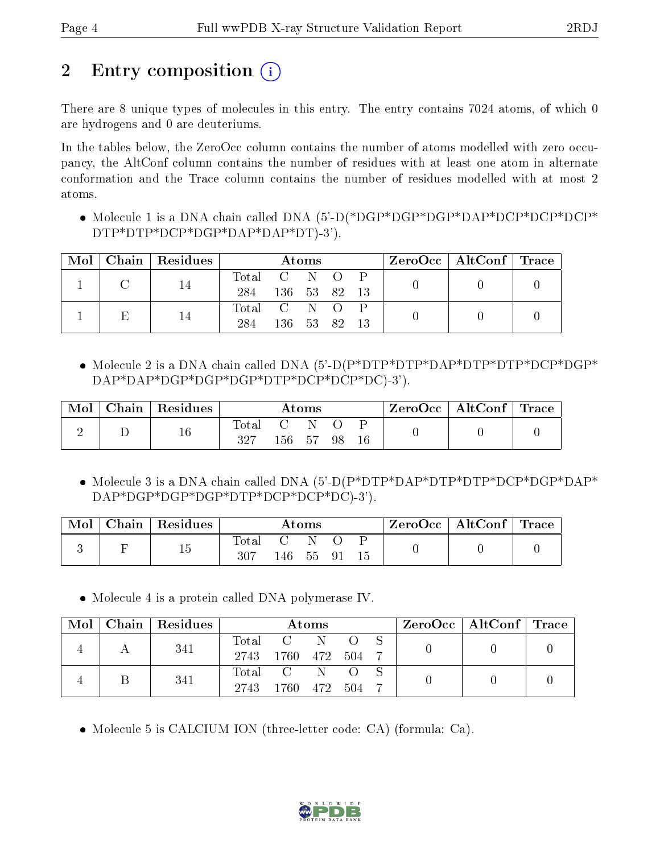## 2 Entry composition  $\left( \cdot \right)$

There are 8 unique types of molecules in this entry. The entry contains 7024 atoms, of which 0 are hydrogens and 0 are deuteriums.

In the tables below, the ZeroOcc column contains the number of atoms modelled with zero occupancy, the AltConf column contains the number of residues with at least one atom in alternate conformation and the Trace column contains the number of residues modelled with at most 2 atoms.

• Molecule 1 is a DNA chain called DNA (5'-D(\*DGP\*DGP\*DGP\*DGP\*DCP\*DCP\*DCP\* DTP\*DTP\*DCP\*DGP\*DAP\*DAP\*DT)-3').

|  | $Mol$   Chain   Residues | Atoms       |              |  |  | $\rm{ZeroOcc} \mid \rm{AltConf} \mid \rm{Trace}$ |  |  |
|--|--------------------------|-------------|--------------|--|--|--------------------------------------------------|--|--|
|  |                          | Total C N O |              |  |  |                                                  |  |  |
|  |                          | 284         | 136 53 82 13 |  |  |                                                  |  |  |
|  | 14                       | Total C N O |              |  |  |                                                  |  |  |
|  |                          | 284         | 136 53 82    |  |  |                                                  |  |  |

• Molecule 2 is a DNA chain called DNA (5'-D(P\*DTP\*DTP\*DAP\*DTP\*DTP\*DCP\*DGP\* DAP\*DAP\*DGP\*DGP\*DGP\*DTP\*DCP\*DCP\*DC)-3').

| Mol | $Chain   Residues$ | Atoms              |              |        |    |  | ZeroOcc   AltConf   Trace |  |
|-----|--------------------|--------------------|--------------|--------|----|--|---------------------------|--|
|     | $16\,$             | $\rm Total$<br>327 | $\mathbf{C}$ | 156 57 | 98 |  |                           |  |

• Molecule 3 is a DNA chain called DNA (5'-D(P\*DTP\*DAP\*DTP\*DTP\*DCP\*DGP\*DAP\* DAP\*DGP\*DGP\*DGP\*DTP\*DCP\*DCP\*DC)-3').

| Mol | $Chain   Residues$ | Atoms |     |      |     |    | $\rm ZeroOcc$   AltConf   Trace |  |
|-----|--------------------|-------|-----|------|-----|----|---------------------------------|--|
|     | 15                 | Total |     | - IN |     |    |                                 |  |
|     |                    | 307   | 146 | - 55 | -91 | 15 |                                 |  |

Molecule 4 is a protein called DNA polymerase IV.

| . Mol ' | $Chain   Residues$ | Atoms                    |                        |                |  |  | $\text{ZeroOcc} \mid \text{AltConf} \mid \text{Trace}$ |  |
|---------|--------------------|--------------------------|------------------------|----------------|--|--|--------------------------------------------------------|--|
|         | 341                | $\mathrm{Total}$<br>2743 | $\mathbf{C}$<br>- 1760 | 472 504        |  |  |                                                        |  |
|         | 341                | Total C<br>2743          | 1760                   | - N<br>472 504 |  |  |                                                        |  |

• Molecule 5 is CALCIUM ION (three-letter code: CA) (formula: Ca).

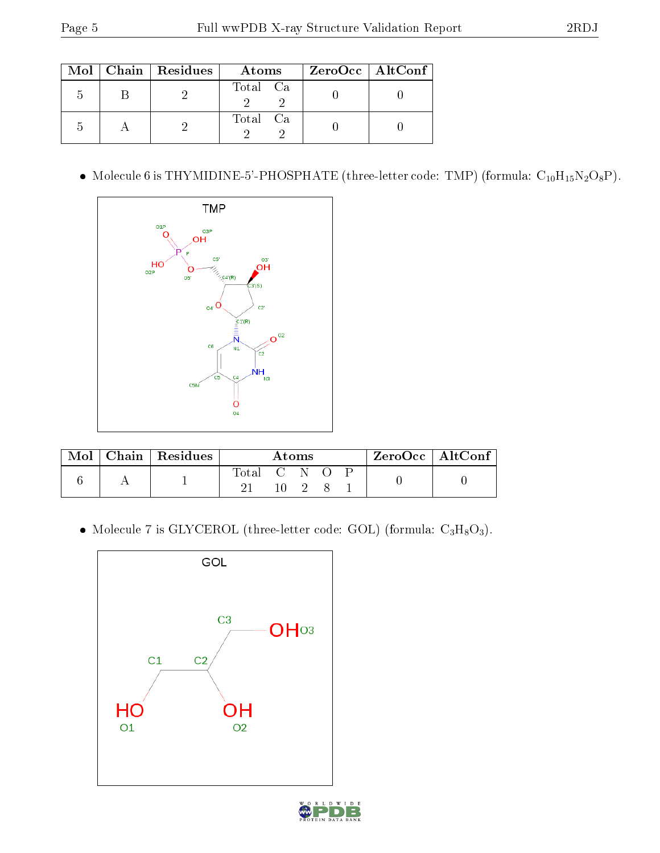|   | $Mol$   Chain   Residues | Atoms    | ZeroOcc   AltConf |
|---|--------------------------|----------|-------------------|
| h |                          | Total Ca |                   |
|   |                          | Total Ca |                   |

 $\bullet\,$  Molecule 6 is THYMIDINE-5'-PHOSPHATE (three-letter code: TMP) (formula:  $\rm C_{10}H_{15}N_2O_8P$  ).



| $\operatorname{Mol}$ | Chain   Residues | Atoms       |  |  |  | $ZeroOcc \   \ AltConf$ |  |  |
|----------------------|------------------|-------------|--|--|--|-------------------------|--|--|
|                      |                  | Total C N O |  |  |  |                         |  |  |

 $\bullet$  Molecule 7 is GLYCEROL (three-letter code: GOL) (formula:  $\rm{C_3H_8O_3}).$ 

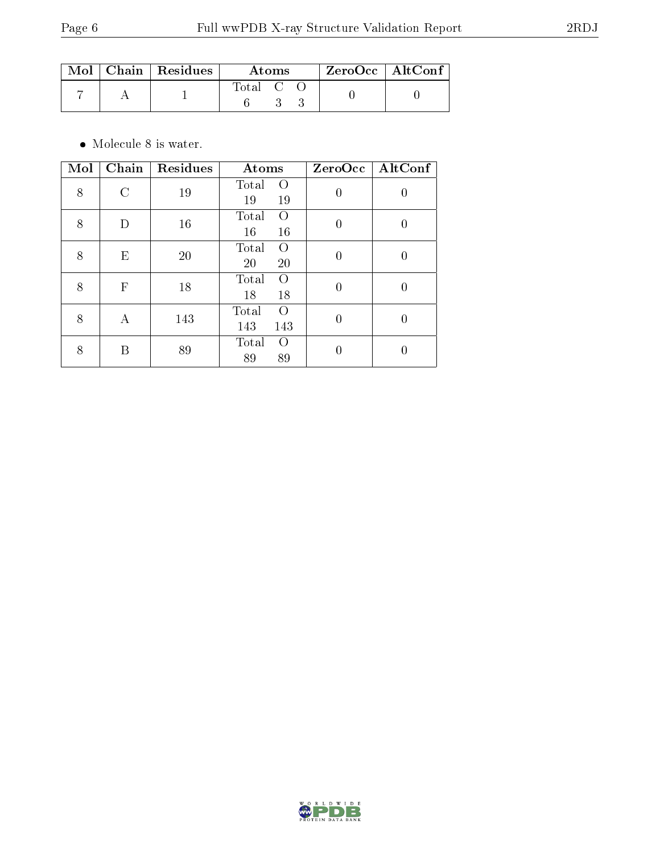|  | $\text{Mol}$   Chain   Residues | Atoms     |  |  | $ZeroOcc \mid AltConf \mid$ |  |
|--|---------------------------------|-----------|--|--|-----------------------------|--|
|  |                                 | Total C O |  |  |                             |  |

 $\bullet\,$  Molecule 8 is water.

| Mol | Chain        | Residues | Atoms                           | ZeroOcc        | AltConf |
|-----|--------------|----------|---------------------------------|----------------|---------|
| 8   | $\rm C$      | 19       | Total<br>$\left($<br>19<br>19   | $\theta$       | 0       |
| 8   | D            | 16       | Total<br>$\Omega$<br>16<br>16   | $\overline{0}$ | U       |
| 8   | E            | 20       | Total<br>$\Omega$<br>20<br>20   | $\overline{0}$ | 0       |
| 8   | $\mathbf{F}$ | 18       | Total<br>$\Omega$<br>18<br>18   | $\overline{0}$ | 0       |
| 8   | А            | 143      | Total<br>$\Omega$<br>143<br>143 | $\theta$       |         |
| 8   | В            | 89       | Total<br>$\Omega$<br>89<br>89   | 0              |         |

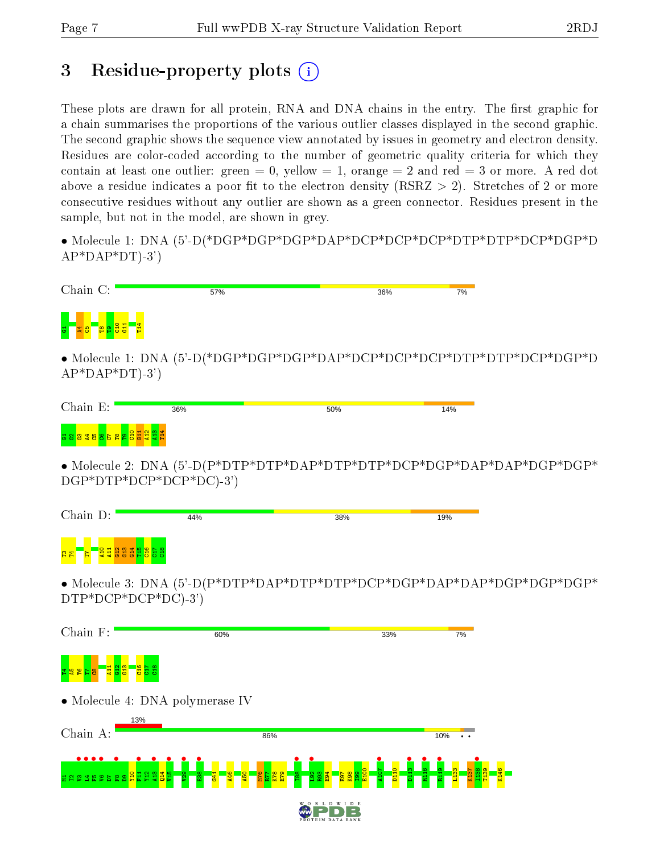## 3 Residue-property plots  $(i)$

These plots are drawn for all protein, RNA and DNA chains in the entry. The first graphic for a chain summarises the proportions of the various outlier classes displayed in the second graphic. The second graphic shows the sequence view annotated by issues in geometry and electron density. Residues are color-coded according to the number of geometric quality criteria for which they contain at least one outlier: green  $= 0$ , yellow  $= 1$ , orange  $= 2$  and red  $= 3$  or more. A red dot above a residue indicates a poor fit to the electron density (RSRZ  $> 2$ ). Stretches of 2 or more consecutive residues without any outlier are shown as a green connector. Residues present in the sample, but not in the model, are shown in grey.

• Molecule 1: DNA (5'-D(\*DGP\*DGP\*DGP\*DAP\*DCP\*DCP\*DCP\*DTP\*DTP\*DCP\*DGP\*D  $AP*DAP*DT$ -3')

| Chain C:                                       | 57% | 36% | 7% |
|------------------------------------------------|-----|-----|----|
| $\overline{\mathbf{5}}$ .<br>$rac{4}{5}$<br>ĒΕ |     |     |    |

• Molecule 1: DNA (5'-D(\*DGP\*DGP\*DGP\*DAP\*DCP\*DCP\*DCP\*DTP\*DTP\*DCP\*DGP\*D  $AP^*DAP^*DT$ -3')

| $F_{\cdot}$<br>Chain | 36% | 50% | 14% |
|----------------------|-----|-----|-----|
| .<br>.               |     |     |     |

• Molecule 2: DNA (5'-D(P\*DTP\*DTP\*DAP\*DTP\*DTP\*DCP\*DGP\*DAP\*DAP\*DGP\*DGP\* DGP\*DTP\*DCP\*DCP\*DC)-3')

| Chain D:                                                         | 44% | 38% | 19% |
|------------------------------------------------------------------|-----|-----|-----|
| <b>OH</b> NM<br>- ∞<br>ਚਾ<br>PZ<br><u>ਬ ਬ ਛ ਛ ਛ ਹ ਹ ਲ ਲ</u><br>Ħ |     |     |     |

• Molecule 3: DNA (5'-D(P\*DTP\*DAP\*DTP\*DTP\*DCP\*DGP\*DAP\*DAP\*DGP\*DGP\*DGP\* DTP\*DCP\*DCP\*DC)-3')

| Chain F:                  | 60%                                                           |                                                         | 33%                                 |                                      | 7%                                                                 |
|---------------------------|---------------------------------------------------------------|---------------------------------------------------------|-------------------------------------|--------------------------------------|--------------------------------------------------------------------|
| 불일<br>74B<br>ႜၓ<br>œ<br>O | ะุ≊<br>もむ                                                     |                                                         |                                     |                                      |                                                                    |
|                           | • Molecule 4: DNA polymerase IV                               |                                                         |                                     |                                      |                                                                    |
| 13%                       |                                                               |                                                         |                                     |                                      |                                                                    |
| Chain A:                  |                                                               | 86%                                                     |                                     | 10%                                  | $\ddot{\phantom{a}}$                                               |
|                           |                                                               |                                                         |                                     |                                      |                                                                    |
| sasagarang<br>로 옵         | E38<br>$^{29}$<br>$\frac{4}{5}$<br><b>DO</b><br>$\frac{1}{4}$ | 88<br><mark>6성경</mark><br>212<br>ន្ទ ឌូ <mark>ឌូ</mark> | <mark>ន្ត្រី ខេត្ត ន</mark><br>A107 | D <sub>110</sub><br>٩<br>g<br>っ<br>뷶 | <b>33</b><br>T <sub>139</sub><br>န္တ<br>l #<br>$\overline{5}$<br>륯 |
|                           |                                                               | $W_0$<br>R<br>L                                         | D<br>W<br>E<br>D                    |                                      |                                                                    |
|                           |                                                               |                                                         | PROTEIN DATA BANK                   |                                      |                                                                    |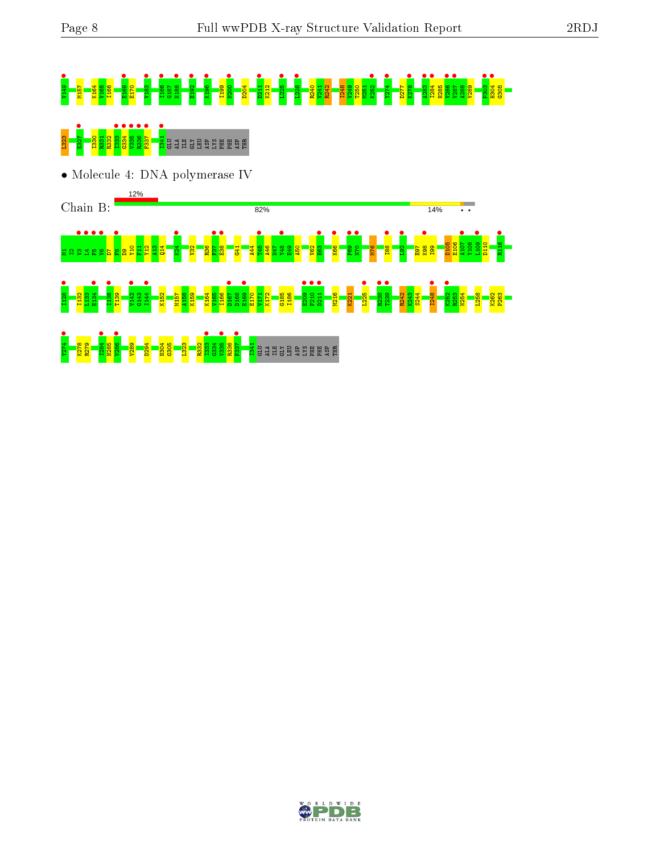# **s a maria de la carta de la carta de la carta de la carta de la carta de la carta de la carta de la carta de l**<br>19 de julio: La carta de la carta de la carta de la carta de la carta de la carta de la carta de la carta de<br>

## L<mark>33885 F3</mark><br><mark>18388 F34</mark> B41 BB 932 F3

• Molecule 4: DNA polymerase IV

12%

Chain B:



Y274 • K278 R279  $\frac{1284}{\frac{1286}{\pi}}$ H285 **•** • • • • • • V289 D294 H304 G305 **L<sub>323</sub> •**<br>**E334**<br>E338<br>E337<br>E37 s<br>Richard Selee Se

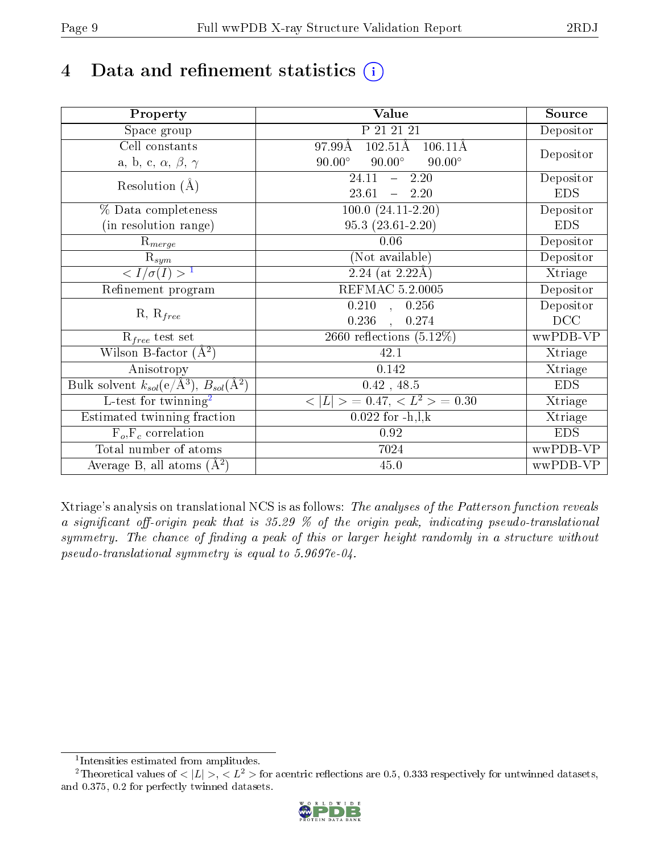## 4 Data and refinement statistics  $(i)$

| Property                                                             | Value                                              | Source     |
|----------------------------------------------------------------------|----------------------------------------------------|------------|
| Space group                                                          | P 21 21 21                                         | Depositor  |
| Cell constants                                                       | $102.51\text{\AA}$<br>97.99Å<br>$106.11\text{\AA}$ |            |
| a, b, c, $\alpha$ , $\beta$ , $\gamma$                               | $90.00^\circ$<br>$90.00^\circ$<br>$90.00^\circ$    | Depositor  |
| Resolution $(A)$                                                     | 24.11<br>$-2.20$                                   | Depositor  |
|                                                                      | 23.61<br>$-2.20$                                   | <b>EDS</b> |
| % Data completeness                                                  | $100.0 (24.11 - 2.20)$                             | Depositor  |
| (in resolution range)                                                | $95.3(23.61-2.20)$                                 | <b>EDS</b> |
| $R_{merge}$                                                          | 0.06                                               | Depositor  |
| $\mathrm{R}_{sym}$                                                   | (Not available)                                    | Depositor  |
| $\sqrt{I/\sigma}(I) > 1$                                             | $2.24$ (at 2.22Å)                                  | Xtriage    |
| Refinement program                                                   | REFMAC 5.2.0005                                    | Depositor  |
|                                                                      | $\overline{0.210}$ ,<br>0.256                      | Depositor  |
| $R, R_{free}$                                                        | 0.236<br>0.274                                     | DCC        |
| $R_{free}$ test set                                                  | 2660 reflections $(5.12\%)$                        | wwPDB-VP   |
| Wilson B-factor $(A^2)$                                              | 42.1                                               | Xtriage    |
| Anisotropy                                                           | 0.142                                              | Xtriage    |
| Bulk solvent $k_{sol}(e/\mathring{A}^3)$ , $B_{sol}(\mathring{A}^2)$ | $0.42$ , 48.5                                      | <b>EDS</b> |
| L-test for twinning <sup>2</sup>                                     | $< L >$ = 0.47, $< L2 >$ = 0.30                    | Xtriage    |
| Estimated twinning fraction                                          | $0.022$ for $-h, l, k$                             | Xtriage    |
| $F_o, F_c$ correlation                                               | 0.92                                               | <b>EDS</b> |
| Total number of atoms                                                | 7024                                               | wwPDB-VP   |
| Average B, all atoms $(A^2)$                                         | 45.0                                               | wwPDB-VP   |

Xtriage's analysis on translational NCS is as follows: The analyses of the Patterson function reveals a significant off-origin peak that is  $35.29\%$  of the origin peak, indicating pseudo-translational symmetry. The chance of finding a peak of this or larger height randomly in a structure without pseudo-translational symmetry is equal to 5.9697e-04.

<sup>&</sup>lt;sup>2</sup>Theoretical values of  $\langle |L| \rangle$ ,  $\langle L^2 \rangle$  for acentric reflections are 0.5, 0.333 respectively for untwinned datasets, and 0.375, 0.2 for perfectly twinned datasets.



<span id="page-8-1"></span><span id="page-8-0"></span><sup>1</sup> Intensities estimated from amplitudes.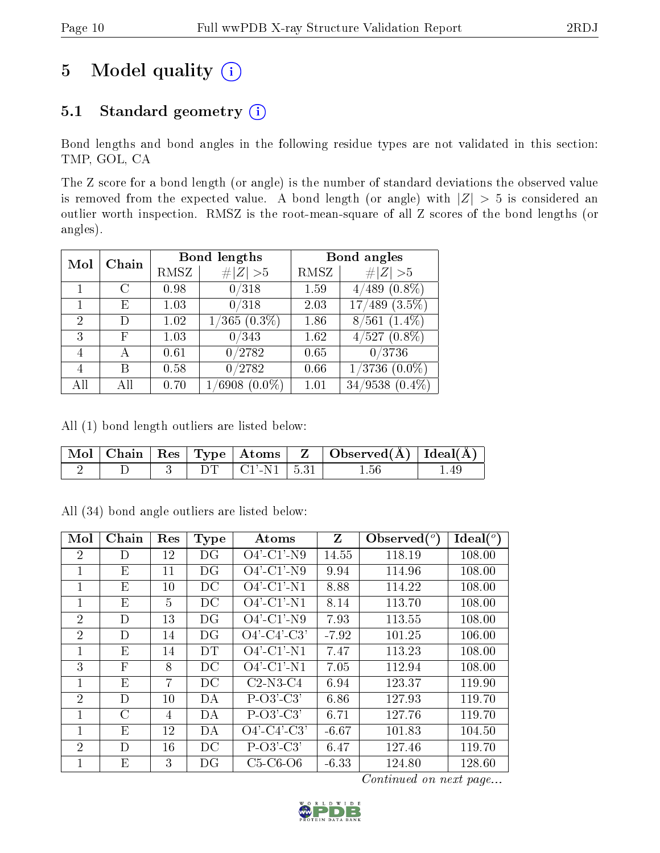## 5 Model quality  $(i)$

#### 5.1 Standard geometry (i)

Bond lengths and bond angles in the following residue types are not validated in this section: TMP, GOL, CA

The Z score for a bond length (or angle) is the number of standard deviations the observed value is removed from the expected value. A bond length (or angle) with  $|Z| > 5$  is considered an outlier worth inspection. RMSZ is the root-mean-square of all Z scores of the bond lengths (or angles).

| Chain<br>Mol   |               |      | <b>Bond lengths</b>        | Bond angles |                                    |  |
|----------------|---------------|------|----------------------------|-------------|------------------------------------|--|
|                |               | RMSZ | # $ Z  > 5$                | RMSZ        | # $ Z  > 5$                        |  |
|                | $\mathcal{C}$ | 0.98 | 0/318                      | 1.59        | $(0.8\%)$<br>4/489                 |  |
|                | Е             | 1.03 | 0/318                      | 2.03        | $(3.5\%)$<br>$^{\prime}489$<br>17/ |  |
| $\mathcal{D}$  | D)            | 1.02 | $\sqrt{365}$ (0.3%)        | 1.86        | $8/561$ $(1.4\%)$                  |  |
| 3              | F             | 1.03 | 0/343                      | 1.62        | $\overline{4/527}(0.8\%)$          |  |
| 4              | А             | 0.61 | 0/2782                     | 0.65        | 0/3736                             |  |
| $\overline{4}$ | В             | 0.58 | 0/2782                     | 0.66        | $^{\prime}3736$<br>$(0.0\%)$       |  |
|                |               | 0.70 | $(0.0\%)$<br>$\sqrt{6908}$ | 1.01        | $34/9538(0.4\%)$                   |  |

All (1) bond length outliers are listed below:

|  |  |                        | $\vert$ Mol $\vert$ Chain $\vert$ Res $\vert$ Type $\vert$ Atoms $\vert$ Z $\vert$ Observed(A) $\vert$ Ideal(A) |  |
|--|--|------------------------|-----------------------------------------------------------------------------------------------------------------|--|
|  |  | $DT   CI' - N1   5.31$ | 1.56                                                                                                            |  |

All (34) bond angle outliers are listed below:

| Mol            | Chain         | Res | <b>Type</b> | Atoms          | Z       | Observed $(°)$ | $\text{Ideal}({}^{\circ})$ |
|----------------|---------------|-----|-------------|----------------|---------|----------------|----------------------------|
| $\overline{2}$ | D             | 12  | DG          | $O4'$ -C1'-N9  | 14.55   | 118.19         | 108.00                     |
| 1              | E             | 11  | DG          | $O4'$ -C1'-N9  | 9.94    | 114.96         | 108.00                     |
| 1              | E             | 10  | DC          | $O4'$ -C1'-N1  | 8.88    | 114.22         | 108.00                     |
| 1              | E             | 5   | DС          | $O4'$ -C1'-N1  | 8.14    | 113.70         | 108.00                     |
| $\overline{2}$ | D             | 13  | DG          | $O4'$ -C1'-N9  | 7.93    | 113.55         | 108.00                     |
| $\overline{2}$ | D             | 14  | DG          | $O4'$ -C4'-C3' | $-7.92$ | 101.25         | 106.00                     |
| 1              | E             | 14  | <b>DT</b>   | $O4'$ -C1'-N1  | 7.47    | 113.23         | 108.00                     |
| 3              | $\mathbf{F}$  | 8   | DC          | $O4'$ -C1'-N1  | 7.05    | 112.94         | 108.00                     |
| 1              | E             | 7   | DС          | $C2-N3-C4$     | 6.94    | 123.37         | 119.90                     |
| 2              | D             | 10  | DA          | $P-O3'-C3'$    | 6.86    | 127.93         | 119.70                     |
| 1              | $\mathcal{C}$ | 4   | DA          | $P-O3'-C3'$    | 6.71    | 127.76         | 119.70                     |
| 1              | E             | 12  | DA          | $O4'$ -C4'-C3' | $-6.67$ | 101.83         | 104.50                     |
| $\overline{2}$ | D             | 16  | DС          | $P-O3'-C3'$    | 6.47    | 127.46         | 119.70                     |
|                | E             | 3   | DG          | $C5-C6-O6$     | $-6.33$ | 124.80         | 128.60                     |

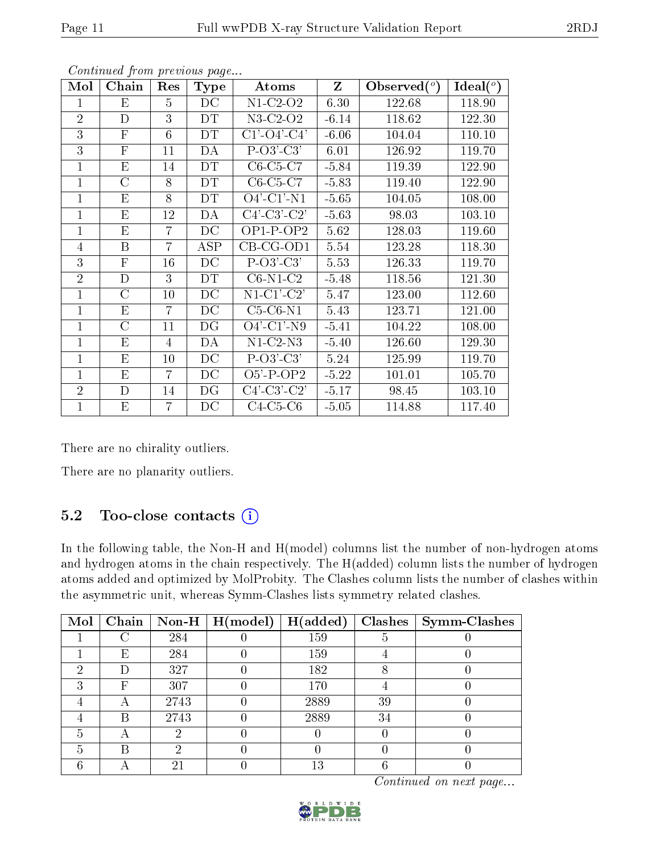| Mol            | Chain          | Res             | Type            | Atoms                               | Z       | Observed $(°)$ | $Ideal(^o)$ |
|----------------|----------------|-----------------|-----------------|-------------------------------------|---------|----------------|-------------|
| 1              | E              | $\overline{5}$  | DC              | $N1-C2-O2$                          | 6.30    | 122.68         | 118.90      |
| $\overline{2}$ | $\mathbf D$    | 3               | <b>DT</b>       | $N3-C2-O2$                          | $-6.14$ | 118.62         | 122.30      |
| 3              | $\mathbf{F}$   | $6\phantom{.}6$ | DT              | $C1'$ - $O4'$ - $C4'$               | $-6.06$ | 104.04         | 110.10      |
| 3              | $\mathbf{F}$   | 11              | DA              | $P-O3'-C3'$                         | 6.01    | 126.92         | 119.70      |
| $\mathbf{1}$   | E              | 14              | DT              | $C6-C5-C7$                          | $-5.84$ | 119.39         | 122.90      |
| $\mathbf{1}$   | $\overline{C}$ | 8               | DT              | $C6-C5-C7$                          | $-5.83$ | 119.40         | 122.90      |
| $\mathbf{1}$   | E              | 8               | DТ              | $O4'$ -C1'-N1                       | $-5.65$ | 104.05         | 108.00      |
| $\mathbf{1}$   | E              | 12              | DA              | $C4'$ - $C3'$ - $C2'$               | $-5.63$ | 98.03          | 103.10      |
| $\mathbf{1}$   | Ε              | 7               | DC              | $OP1-POP2$                          | 5.62    | 128.03         | 119.60      |
| $\overline{4}$ | B              | 7               | ASP             | $CB-CG-OD1$                         | 5.54    | 123.28         | 118.30      |
| 3              | $\mathbf{F}$   | 16              | DC              | $P-O3'-C3'$                         | 5.53    | 126.33         | 119.70      |
| $\overline{2}$ | D              | 3               | DT              | $\overline{\text{C6-}N1\text{-}C2}$ | $-5.48$ | 118.56         | 121.30      |
| $\mathbf{1}$   | $\rm C$        | 10              | DC              | $N1-C1-C2'$                         | 5.47    | 123.00         | 112.60      |
| $\mathbf{1}$   | E              | 7               | DC              | $C5-C6-N1$                          | 5.43    | 123.71         | 121.00      |
| $\mathbf{1}$   | $\rm C$        | 11              | DG              | $O4'$ -C1'-N9                       | $-5.41$ | 104.22         | 108.00      |
| $\mathbf{1}$   | E              | 4               | DA              | $N1-C2-N3$                          | $-5.40$ | 126.60         | 129.30      |
| $\mathbf{1}$   | E              | 10              | DC              | $P-O3'-C3'$                         | 5.24    | 125.99         | 119.70      |
| $\mathbf{1}$   | E              | $\overline{7}$  | DC              | $O5'$ -P-OP2                        | $-5.22$ | 101.01         | 105.70      |
| $\overline{2}$ | D              | 14              | DG              | $C4'-C3'-C2'$                       | $-5.17$ | 98.45          | 103.10      |
| $\mathbf{1}$   | E              | 7               | $\overline{D}C$ | $C4-C5-C6$                          | $-5.05$ | 114.88         | 117.40      |

There are no chirality outliers.

There are no planarity outliers.

#### 5.2 Too-close contacts  $(i)$

In the following table, the Non-H and H(model) columns list the number of non-hydrogen atoms and hydrogen atoms in the chain respectively. The H(added) column lists the number of hydrogen atoms added and optimized by MolProbity. The Clashes column lists the number of clashes within the asymmetric unit, whereas Symm-Clashes lists symmetry related clashes.

| Mol |   |      | Chain   Non-H   $H (model)$ | H(added) |    | $Clashes$   Symm-Clashes |
|-----|---|------|-----------------------------|----------|----|--------------------------|
|     |   | 284  |                             | 159      | Ð  |                          |
|     | Е | 284  |                             | 159      |    |                          |
| ച   | D | 327  |                             | 182      |    |                          |
| ച   | F | 307  |                             | 170      |    |                          |
|     | А | 2743 |                             | 2889     | 39 |                          |
|     | R | 2743 |                             | 2889     | 34 |                          |
| 5   | А |      |                             |          |    |                          |
| 5   | В | 6)   |                             |          |    |                          |
|     |   | 2.   |                             | 13       |    |                          |

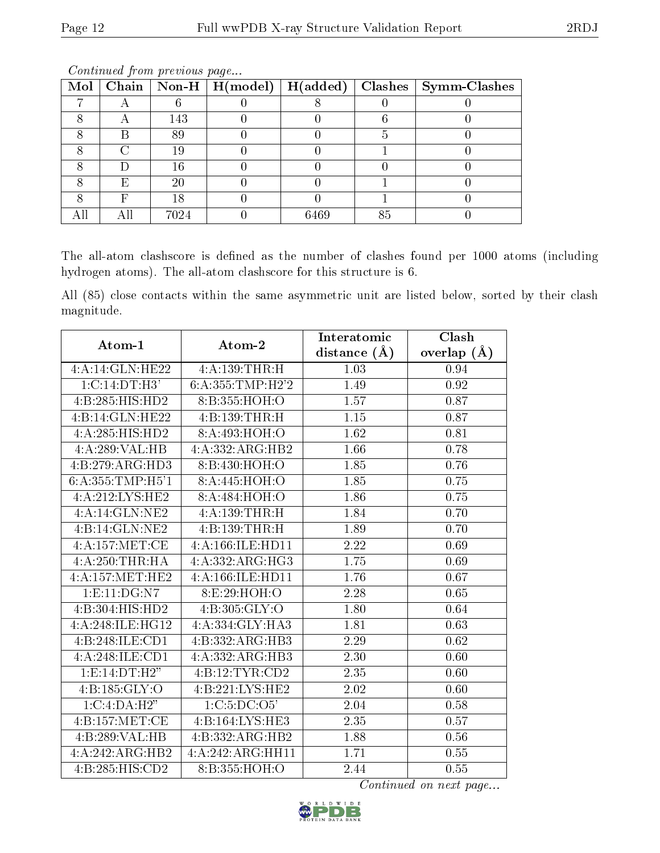|   |       |      | Mol   Chain   Non-H   H(model)   H(added)   Clashes   Symm-Clashes |
|---|-------|------|--------------------------------------------------------------------|
|   |       |      |                                                                    |
|   | 143   |      |                                                                    |
|   | 89    |      |                                                                    |
|   | Т9    |      |                                                                    |
|   | 16    |      |                                                                    |
| F | 20    |      |                                                                    |
|   |       |      |                                                                    |
|   | 70 24 | 6469 |                                                                    |

The all-atom clashscore is defined as the number of clashes found per 1000 atoms (including hydrogen atoms). The all-atom clashscore for this structure is 6.

All (85) close contacts within the same asymmetric unit are listed below, sorted by their clash magnitude.

| Atom-1                       | Atom-2               | Interatomic       | Clash         |
|------------------------------|----------------------|-------------------|---------------|
|                              |                      | distance $(\AA)$  | overlap $(A)$ |
| 4:A:14:GLN:HE22              | 4:A:139:THR:H        | 1.03              | 0.94          |
| 1: C: 14: DT:H3'             | 6: A: 355: TMP: H2'2 | 1.49              | 0.92          |
| 4:B:285:HIS:HD2              | 8:B:355:HOH:O        | 1.57              | 0.87          |
| 4:B:14:GLN:HE22              | 4:B:139:THR:H        | 1.15              | 0.87          |
| 4:A:285:HIS:HD2              | 8:A:493:HOH:O        | 1.62              | 0.81          |
| 4:A:289:VAL:HB               | 4:A:332:ARG:HB2      | 1.66              | 0.78          |
| 4:B:279:ARG:HD3              | 8:B:430:HOH:O        | 1.85              | 0.76          |
| 6: A: 355: TMP: H5'1         | 8:A:445:HOH:O        | 1.85              | 0.75          |
| 4:A:212:LYS:HE2              | 8: A:484:HOH:O       | $\overline{1.86}$ | 0.75          |
| 4:A:14:GLN:NE2               | 4:A:139:THR:H        | 1.84              | 0.70          |
| $4:B:14:GLN:\overline{NE2}$  | 4:B:139:THR:H        | 1.89              | 0.70          |
| 4:A:157:MET:CE               | 4:A:166:II.E:HDI1    | 2.22              | 0.69          |
| 4:A:250:THR:HA               | 4:A:332:ARG:HG3      | 1.75              | 0.69          |
| 4: A: 157: MET: HE2          | 4:A:166:ILE:HD11     | 1.76              | 0.67          |
| 1: E: 11: DG: N7             | 8: E: 29: HOH:O      | 2.28              | 0.65          |
| $4:B:304:HIS:H\overline{D2}$ | 4:B:305:GLY:O        | 1.80              | 0.64          |
| 4:A:248:ILE:HG12             | 4:A:334:GLY:HA3      | 1.81              | 0.63          |
| 4:B:248:ILE:CD1              | 4:B:332:ARG:HB3      | 2.29              | 0.62          |
| 4:A:248:ILE:CD1              | 4:A:332:ARG:HB3      | 2.30              | 0.60          |
| 1: E: 14: DT:H2"             | 4:B:12:TYR:CD2       | 2.35              | 0.60          |
| 4: B: 185: GLY: O            | 4:B:221:LYS:HE2      | 2.02              | 0.60          |
| 1:C:4:DA:H2"                 | 1:C:5:DC:O5'         | 2.04              | 0.58          |
| 4:B:157:MET:CE               | 4:B:164:LYS:HE3      | 2.35              | 0.57          |
| 4:B:289:VAL:HB               | 4:B:332:ARG:HB2      | 1.88              | 0.56          |
| 4:A:242:ARG:HB2              | 4:A:242:ARG:HH11     | 1.71              | 0.55          |
| 4:B:285:HIS:CD2              | 8:B:355:HOH:O        | 2.44              | 0.55          |

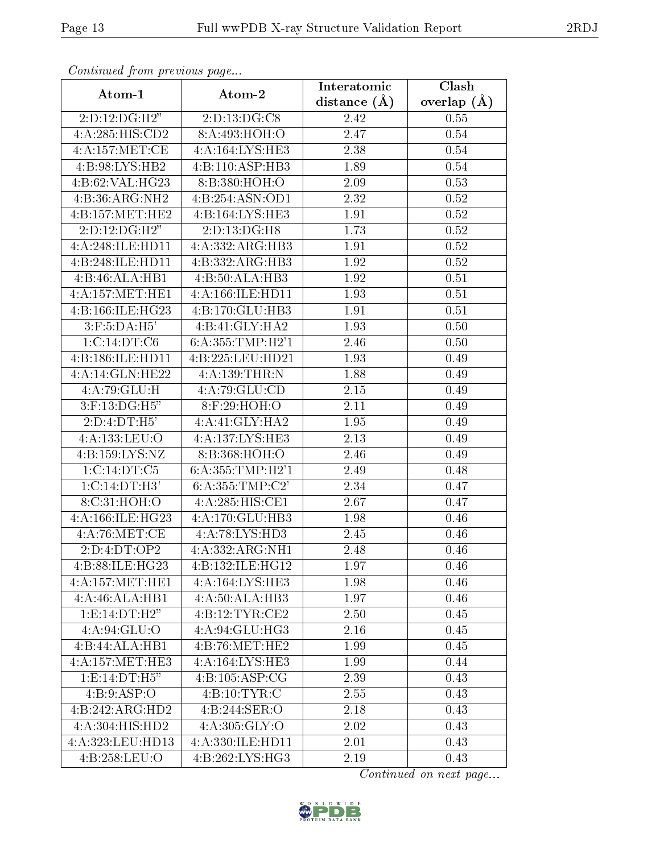| Continued from previous page |                     | Interatomic      | $\overline{\text{Clash}}$ |
|------------------------------|---------------------|------------------|---------------------------|
| Atom-1                       | Atom-2              | distance $(\AA)$ | overlap $(A)$             |
| 2:D:12:DG:H2"                | 2:D:13:DG:CS        | 2.42             | 0.55                      |
| 4:A:285:HIS:CD2              | 8: A:493:HOH:O      | 2.47             | 0.54                      |
| 4: A:157: MET:CE             | 4:A:164:LYS:HE3     | 2.38             | 0.54                      |
| 4:B:98:LYS:HB2               | 4:B:110:ASP:HB3     | 1.89             | 0.54                      |
| 4:B:62:VAL:HG23              | 8:B:380:HOH:O       | 2.09             | 0.53                      |
| 4:B:36:ARG:NH2               | 4:B:254:ASN:OD1     | 2.32             | 0.52                      |
| 4:B:157:MET:HE2              | 4:B:164:LYS:HE3     | 1.91             | $0.52\,$                  |
| 2: D: 12: DG: H2"            | 2:D:13:DG:H8        | 1.73             | 0.52                      |
| 4:A:248:ILE:HD11             | 4:A:332:ARG:HB3     | 1.91             | 0.52                      |
| 4:B:248:ILE:HD11             | 4:B:332:ARG:HB3     | 1.92             | 0.52                      |
| 4:B:46:ALA:HB1               | 4:B:50:ALA:HB3      | 1.92             | 0.51                      |
| 4: A:157: MET:HE1            | 4:A:166:ILE:HD11    | 1.93             | 0.51                      |
| 4:B:166:ILE:HG23             | 4:B:170:GLU:HB3     | 1.91             | 0.51                      |
| $3:$ F:5:DA:H5'              | 4:B:41:GLY:HA2      | 1.93             | 0.50                      |
| 1:C:14:DT:C6                 | 6:A:355:TMP:H2'1    | 2.46             | 0.50                      |
| 4:B:186:ILE:HD11             | 4:B:225:LEU:HD21    | 1.93             | 0.49                      |
| 4:A:14:GLN:HE22              | 4:A:139:THR:N       | 1.88             | 0.49                      |
| 4:A:79:GLU:H                 | 4:A:79:GLU:CD       | 2.15             | 0.49                      |
| 3:F:13:DG:H5"                | 8:F:29:HOH:O        | 2.11             | 0.49                      |
| 2:D:4:DT:H5'                 | 4:A:41:GLY:HA2      | 1.95             | 0.49                      |
| 4:A:133:LEU:O                | 4:A:137:LYS:HE3     | 2.13             | 0.49                      |
| 4:B:159:LYS:NZ               | 8:B:368:HOH:O       | 2.46             | 0.49                      |
| 1:C:14:DT:C5                 | 6: A: 355: TMP:H2'1 | 2.49             | 0.48                      |
| 1:C:14:DT:H3'                | 6: A: 355: TMP: C2' | 2.34             | 0.47                      |
| 8:C:31:HOH:O                 | 4:A:285:HIS:CE1     | 2.67             | 0.47                      |
| 4:A:166:ILE:HG23             | 4:A:170:GLU:HB3     | 1.98             | 0.46                      |
| 4:A:76:MET:CE                | 4:A:78:LYS:HD3      | 2.45             | 0.46                      |
| 2:D:4:DT:OP2                 | 4:A:332:ARG:NH1     | 2.48             | 0.46                      |
| 4:B:88:ILE:HG23              | 4:B:132:ILE:HG12    | 1.97             | 0.46                      |
| 4:A:157:MET:HE1              | 4:A:164:LYS:HE3     | 1.98             | 0.46                      |
| 4:A:46:ALA:HB1               | 4:A:50:ALA:HB3      | 1.97             | 0.46                      |
| 1:E:14:DT:H2"                | 4:B:12:TYR:CE2      | 2.50             | 0.45                      |
| 4: A:94: GLU:O               | 4:A:94:GLU:HG3      | 2.16             | 0.45                      |
| 4:B:44:ALA:HB1               | 4:B:76:MET:HE2      | 1.99             | 0.45                      |
| 4:A:157:MET:HE3              | 4:A:164:LYS:HE3     | 1.99             | 0.44                      |
| 1:E:14:DT:H5"                | 4:B:105:ASP:CG      | 2.39             | 0.43                      |
| 4: B:9: ASP:O                | 4: B: 10: TYR: C    | 2.55             | 0.43                      |
| 4:B:242:ARG:HD2              | 4:B:244:SER:O       | 2.18             | 0.43                      |
| 4:A:304:HIS:HD2              | 4: A:305: GLY:O     | 2.02             | 0.43                      |
| 4:A:323:LEU:HD13             | 4:A:330:ILE:HD11    | 2.01             | 0.43                      |
| 4:B:258:LEU:O                | 4:B:262:LYS:HG3     | 2.19             | 0.43                      |

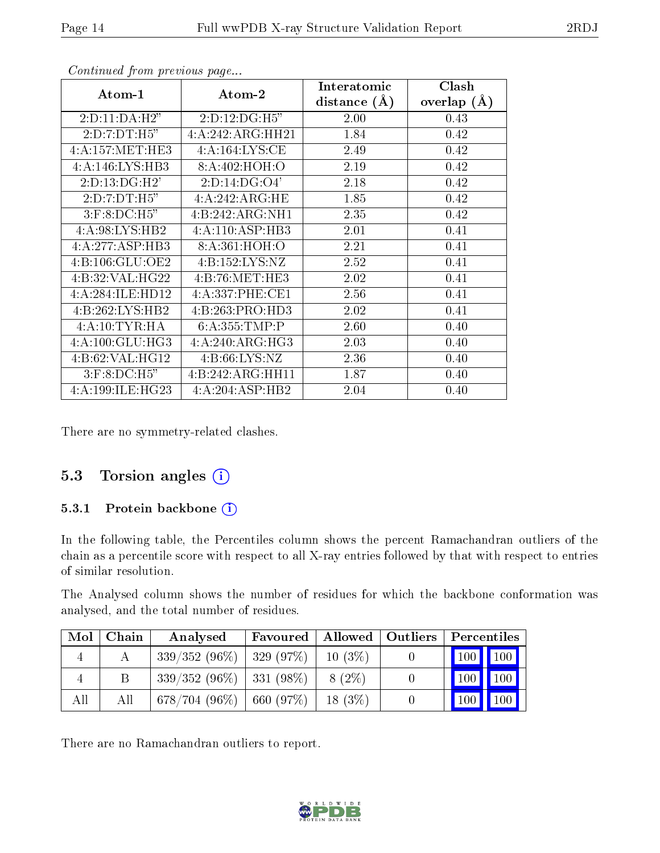| Atom-1                 | Atom-2                        | Interatomic<br>distance $(\AA)$ | Clash<br>overlap $(\AA)$ |
|------------------------|-------------------------------|---------------------------------|--------------------------|
| 2: D: 11: DA: H2"      | 2:D:12:DG:H5"                 | 2.00                            | 0.43                     |
| 2: D: 7: DT: H5"       | 4:A:242:ARG:HH21              | 1.84                            | 0.42                     |
| 4:A:157:MET:HE3        | 4:A:164:LYS:CE                | 2.49                            | 0.42                     |
| 4:A:146:LYS:HB3        | 8:A:402:HOH:O                 | 2.19                            | 0.42                     |
| 2:D:13:DG:H2'          | 2: D: 14: DG: O4'             | 2.18                            | 0.42                     |
| 2:D:7:DT:H5"           | 4:A:242:ARG:HE                | 1.85                            | 0.42                     |
| $3:$ F: $8:$ DC: $H5"$ | 4:B:242:ARG:NH1               | 2.35                            | 0.42                     |
| 4:A:98:LYS:HB2         | 4:A:110:ASP:HB3               | 2.01                            | 0.41                     |
| 4:A:277:ASP:HB3        | 8:A:361:HOH:O                 | 2.21                            | 0.41                     |
| 4:B:106:GLU:OE2        | 4:B:152:LYS:NZ                | 2.52                            | 0.41                     |
| 4:B:32:VAL:HG22        | 4: B:76:MET:HE3               | 2.02                            | 0.41                     |
| 4:A:284:ILE:HD12       | 4: A:337: PHE:CE1             | 2.56                            | 0.41                     |
| 4:B:262:LYS:HB2        | 4:B:263:PRO:HD3               | 2.02                            | 0.41                     |
| 4:A:10:TYR:HA          | 6:A:355:TMP:P                 | 2.60                            | 0.40                     |
| 4:A:100:GLU:HG3        | 4:A:240:ARG:HG3               | 2.03                            | 0.40                     |
| 4:B:62:VAL:HG12        | 4: B:66: LYS: NZ              | 2.36                            | 0.40                     |
| $3:$ F: $8:$ DC: $H5"$ | $4:B:242:ARG:H\overline{H11}$ | 1.87                            | 0.40                     |
| 4:A:199:ILE:HG23       | 4:A:204:ASP:HB2               | 2.04                            | 0.40                     |

There are no symmetry-related clashes.

#### 5.3 Torsion angles  $(i)$

#### 5.3.1 Protein backbone (i)

In the following table, the Percentiles column shows the percent Ramachandran outliers of the chain as a percentile score with respect to all X-ray entries followed by that with respect to entries of similar resolution.

The Analysed column shows the number of residues for which the backbone conformation was analysed, and the total number of residues.

| Mol | Chain | Analysed                     | Favoured  |           | Allowed   Outliers   Percentiles |
|-----|-------|------------------------------|-----------|-----------|----------------------------------|
|     |       | $339/352(96\%)$   329 (97\%) |           | $10(3\%)$ | 100   100                        |
|     |       | $339/352(96\%)$ 331 (98\%)   |           | $8(2\%)$  | $100$   100                      |
| All | All   | $678/704(96\%)$              | 660 (97%) | $18(3\%)$ | $\vert$ 100   100                |

There are no Ramachandran outliers to report.

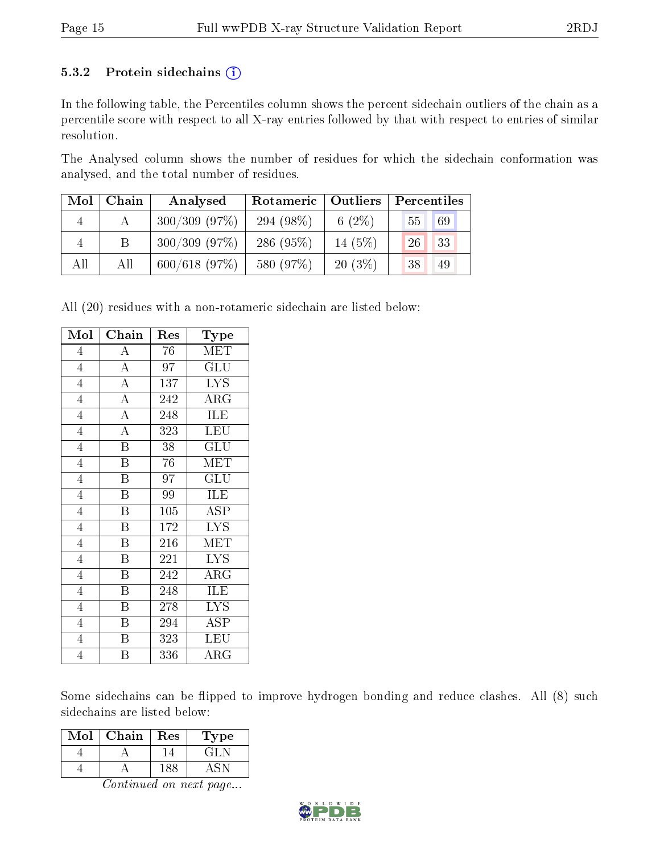#### 5.3.2 Protein sidechains  $(i)$

In the following table, the Percentiles column shows the percent sidechain outliers of the chain as a percentile score with respect to all X-ray entries followed by that with respect to entries of similar resolution.

The Analysed column shows the number of residues for which the sidechain conformation was analysed, and the total number of residues.

| Mol            | Chain | Analysed     | Outliers<br>Rotameric |           | Percentiles |  |  |
|----------------|-------|--------------|-----------------------|-----------|-------------|--|--|
| $\overline{4}$ |       | 300/309(97%) | 294 $(98\%)$          | 6 $(2\%)$ | 69<br>55    |  |  |
| 4              | Β     | 300/309(97%) | 286 (95%)             | 14 $(5%)$ | 33<br>26    |  |  |
| All            | All   | 600/618(97%) | 580 (97%)             | $20(3\%)$ | 49<br>38    |  |  |

All (20) residues with a non-rotameric sidechain are listed below:

| Mol            | Chain                   | Res              | Type                            |
|----------------|-------------------------|------------------|---------------------------------|
| $\overline{4}$ | A                       | 76               | <b>MET</b>                      |
| $\overline{4}$ | $\overline{A}$          | 97               | $\overline{{\rm GLU}}$          |
| $\overline{4}$ | $\overline{A}$          | $\overline{137}$ | <b>LYS</b>                      |
| $\overline{4}$ | $\overline{A}$          | 242              | $\rm{ARG}$                      |
| $\overline{4}$ | $\overline{A}$          | 248              | ILE                             |
| $\overline{4}$ | $\overline{A}$          | 323              | $\overline{\text{LEU}}$         |
| $\overline{4}$ | $\overline{\mathbf{B}}$ | 38               | $\widetilde{{\rm GLU}}$         |
| $\overline{4}$ | $\overline{\mathrm{B}}$ | 76               | MET                             |
| $\overline{4}$ | $\overline{\mathrm{B}}$ | 97               | $\widetilde{{\rm GLU}}$         |
| $\overline{4}$ | $\overline{\mathrm{B}}$ | 99               | ILE                             |
| $\overline{4}$ | $\boldsymbol{B}$        | 105              | ASP                             |
| $\overline{4}$ | B                       | 172              | $\overline{\text{L} \text{YS}}$ |
| $\overline{4}$ | $\overline{\mathrm{B}}$ | 216              | MET                             |
| $\overline{4}$ | $\overline{\mathrm{B}}$ | 221              | $\overline{\text{LYS}}$         |
| $\overline{4}$ | $\overline{\mathrm{B}}$ | 242              | $\rm{ARG}$                      |
| $\overline{4}$ | B                       | 248              | ILE                             |
| $\overline{4}$ | $\overline{\mathrm{B}}$ | 278              | $\overline{\text{LYS}}$         |
| $\overline{4}$ | $\, {\bf B}$            | 294              | $\overline{A}$ SP               |
| $\overline{4}$ | $\overline{\mathrm{B}}$ | $\overline{3}23$ | LEU                             |
| $\overline{4}$ | B                       | 336              | $\rm{ARG}$                      |

Some sidechains can be flipped to improve hydrogen bonding and reduce clashes. All (8) such sidechains are listed below:

| Mol | Chain | Res | l'ype |
|-----|-------|-----|-------|
|     |       |     |       |
|     |       |     |       |

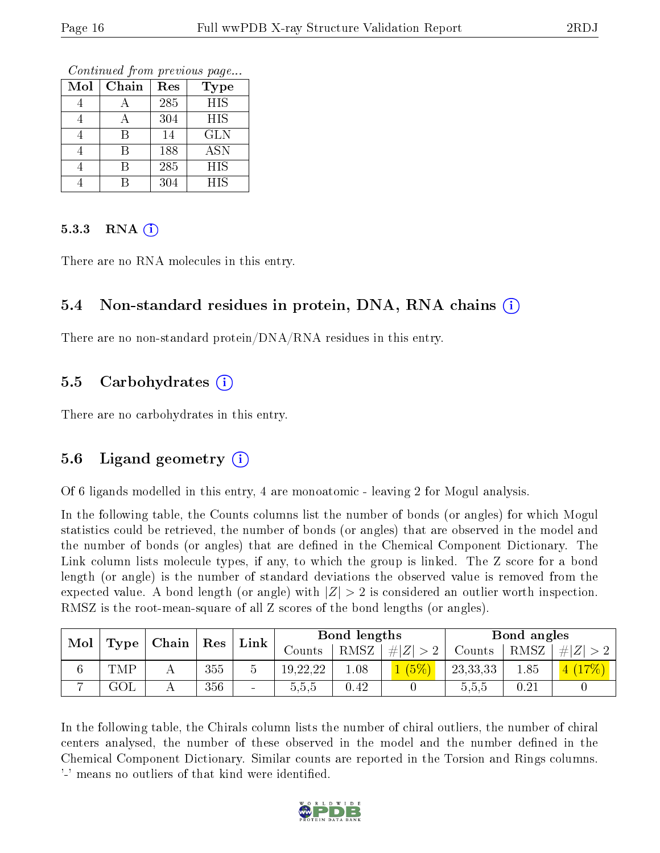Continued from previous page...

| Mol | Chain | Res | <b>Type</b> |
|-----|-------|-----|-------------|
|     |       | 285 | HIS         |
|     |       | 304 | HIS         |
|     |       | 14  | <b>GLN</b>  |
|     | R     | 188 | <b>ASN</b>  |
|     | R     | 285 | <b>HIS</b>  |
|     |       | 304 | <b>HIS</b>  |

#### $5.3.3$  RNA  $(i)$

There are no RNA molecules in this entry.

#### 5.4 Non-standard residues in protein, DNA, RNA chains (i)

There are no non-standard protein/DNA/RNA residues in this entry.

#### 5.5 Carbohydrates  $(i)$

There are no carbohydrates in this entry.

#### 5.6 Ligand geometry (i)

Of 6 ligands modelled in this entry, 4 are monoatomic - leaving 2 for Mogul analysis.

In the following table, the Counts columns list the number of bonds (or angles) for which Mogul statistics could be retrieved, the number of bonds (or angles) that are observed in the model and the number of bonds (or angles) that are defined in the Chemical Component Dictionary. The Link column lists molecule types, if any, to which the group is linked. The Z score for a bond length (or angle) is the number of standard deviations the observed value is removed from the expected value. A bond length (or angle) with  $|Z| > 2$  is considered an outlier worth inspection. RMSZ is the root-mean-square of all Z scores of the bond lengths (or angles).

| $\bf{Mol}$ |           |                                            |     |        |          | Bond lengths |             |          | Bond angles |         |
|------------|-----------|--------------------------------------------|-----|--------|----------|--------------|-------------|----------|-------------|---------|
|            |           | $\mid$ Type $\mid$ Chain $\mid$ Res $\mid$ |     | Link   | Counts   | RMSZ         | # $ Z  > 2$ | Counts   | RMSZ        | $\# Z $ |
|            | TMP       |                                            | 355 |        | 19,22,22 | 0.1          |             | 23,33,33 | 1.85        |         |
|            | $\rm GOI$ |                                            | 356 | $\sim$ | 0.6.6    | $\rm 0.42$   |             | 0.5.5    | 0.21        |         |

In the following table, the Chirals column lists the number of chiral outliers, the number of chiral centers analysed, the number of these observed in the model and the number defined in the Chemical Component Dictionary. Similar counts are reported in the Torsion and Rings columns. '-' means no outliers of that kind were identified.

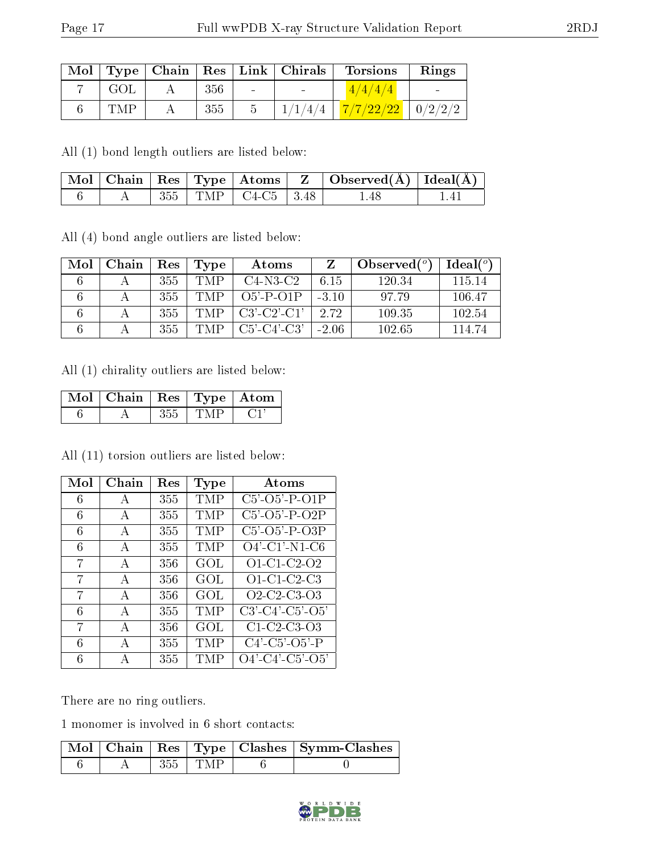|     |     |                      | Mol   Type   Chain   Res   Link   Chirals | <b>Torsions</b>                     | Rings |
|-----|-----|----------------------|-------------------------------------------|-------------------------------------|-------|
| GOL | 356 | $\sim 100$ m $^{-1}$ |                                           | 4/4/4/4                             |       |
| TMP | 355 |                      |                                           | $1/1/4/4$   $7/7/22/22$   $0/2/2/2$ |       |

All (1) bond length outliers are listed below:

|  |  |                            | $\mid$ Mol $\mid$ Chain $\mid$ Res $\mid$ Type $\mid$ Atoms $\mid$ Z $\mid$ Observed(A) $\mid$ Ideal(A) $\mid$ |  |
|--|--|----------------------------|----------------------------------------------------------------------------------------------------------------|--|
|  |  | $355$   TMP   C4-C5   3.48 | . 48                                                                                                           |  |

All (4) bond angle outliers are listed below:

| Mol | Chain | Res | Type | Atoms                 |         | Observed $(°)$ | $Ideal(^o)$ |
|-----|-------|-----|------|-----------------------|---------|----------------|-------------|
|     |       | 355 | TMP  | $C4-N3-C2$            | 6.15    | 120.34         | 115 14      |
|     |       | 355 | TMP  | $O5' - P - O1P$       | $-3.10$ | 97.79          | 106.47      |
|     |       | 355 | TMP  | $C3'$ - $C2'$ - $C1'$ | 2.72    | 109.35         | 102.54      |
|     |       | 355 | TMP  | $C5'$ - $C4'$ - $C3'$ | $-2.06$ | 102.65         | 114.74      |

All (1) chirality outliers are listed below:

| $\overline{\text{Mol}}$   Chain   Res   Type   Atom |     |     |  |
|-----------------------------------------------------|-----|-----|--|
|                                                     | 355 | TMP |  |

All (11) torsion outliers are listed below:

| Mol | Chain        | Res | Type | Atoms                                                |
|-----|--------------|-----|------|------------------------------------------------------|
| 6   | A            | 355 | TMP  | $C5'$ - $O5'$ - $P$ - $O1P$                          |
| 6   | A            | 355 | TMP  | $C5'$ - $O5'$ - $P$ - $O2P$                          |
| 6   | $\mathsf{A}$ | 355 | TMP  | $C5'$ -O5'-P-O3P                                     |
| 6   | A            | 355 | TMP  | $O4'$ -C1'-N1-C6                                     |
| 7   | A            | 356 | GOL  | $O1$ -C1-C2-O2                                       |
| 7   | $\mathbf{A}$ | 356 | GOL  | $O1$ -C1-C2-C3                                       |
| 7   | $\mathbf{A}$ | 356 | GOL  | Q2-C2-C3-Q3                                          |
| 6   | $\mathbf{A}$ | 355 | TMP  | $C3'-C4'-C5'-O5'$                                    |
| 7   | A            | 356 | GOL  | $C1$ -C <sub>2</sub> -C <sub>3</sub> -O <sub>3</sub> |
| 6   | $\mathbf{A}$ | 355 | TMP  | $C4'$ - $C5'$ - $O5'$ - $P$                          |
| 6   | А            | 355 | TMP  | $O4'$ -C4'-C5'-O5'                                   |

There are no ring outliers.

1 monomer is involved in 6 short contacts:

|  |           | $\mid$ Mol $\mid$ Chain $\mid$ Res $\mid$ Type $\mid$ Clashes $\mid$ Symm-Clashes $\mid$ |
|--|-----------|------------------------------------------------------------------------------------------|
|  | $355$ TMP |                                                                                          |

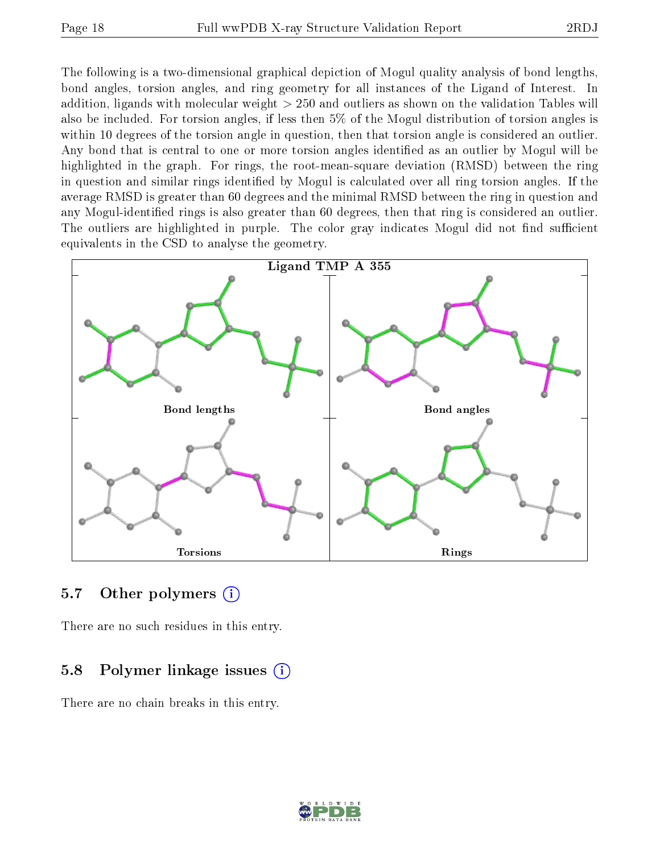The following is a two-dimensional graphical depiction of Mogul quality analysis of bond lengths, bond angles, torsion angles, and ring geometry for all instances of the Ligand of Interest. In addition, ligands with molecular weight > 250 and outliers as shown on the validation Tables will also be included. For torsion angles, if less then 5% of the Mogul distribution of torsion angles is within 10 degrees of the torsion angle in question, then that torsion angle is considered an outlier. Any bond that is central to one or more torsion angles identified as an outlier by Mogul will be highlighted in the graph. For rings, the root-mean-square deviation (RMSD) between the ring in question and similar rings identified by Mogul is calculated over all ring torsion angles. If the average RMSD is greater than 60 degrees and the minimal RMSD between the ring in question and any Mogul-identified rings is also greater than 60 degrees, then that ring is considered an outlier. The outliers are highlighted in purple. The color gray indicates Mogul did not find sufficient equivalents in the CSD to analyse the geometry.



#### 5.7 [O](https://www.wwpdb.org/validation/2017/XrayValidationReportHelp#nonstandard_residues_and_ligands)ther polymers  $(i)$

There are no such residues in this entry.

#### 5.8 Polymer linkage issues (i)

There are no chain breaks in this entry.

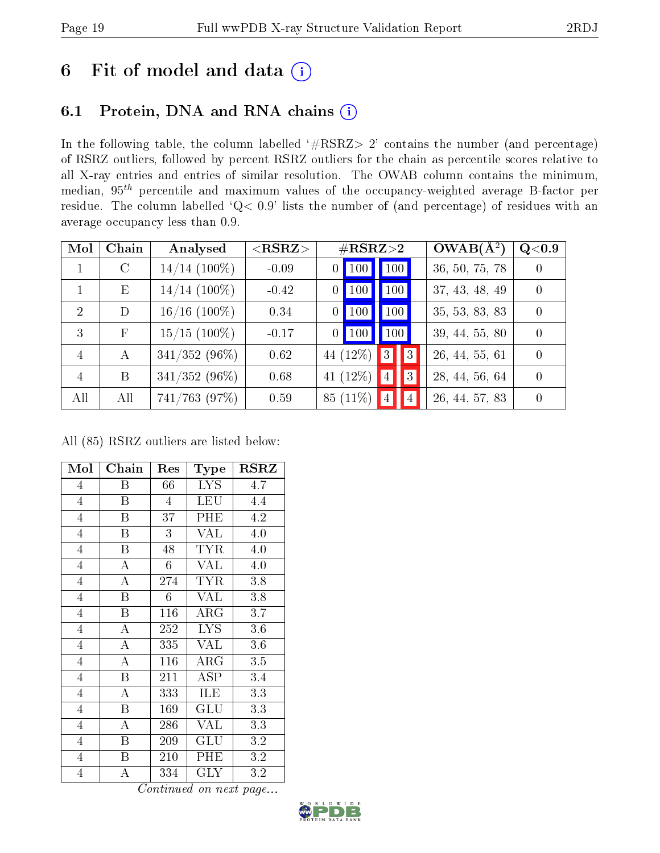## 6 Fit of model and data  $(i)$

### 6.1 Protein, DNA and RNA chains  $(i)$

In the following table, the column labelled  $#RSRZ> 2'$  contains the number (and percentage) of RSRZ outliers, followed by percent RSRZ outliers for the chain as percentile scores relative to all X-ray entries and entries of similar resolution. The OWAB column contains the minimum, median,  $95<sup>th</sup>$  percentile and maximum values of the occupancy-weighted average B-factor per residue. The column labelled ' $Q< 0.9$ ' lists the number of (and percentage) of residues with an average occupancy less than 0.9.

| Mol            | Chain      | Analysed        | ${ <\hspace{-1.5pt}{\mathrm{RSRZ}} \hspace{-1.5pt}>}$ | $\#\text{RSRZ}\text{>2}$ |                                  | $OWAB(A^2)$    | Q <sub>0.9</sub> |
|----------------|------------|-----------------|-------------------------------------------------------|--------------------------|----------------------------------|----------------|------------------|
|                | $\rm C$    | $14/14$ (100%)  | $-0.09$                                               | 100<br>0                 | 100                              | 36, 50, 75, 78 | 0                |
|                | Ε          | $14/14$ (100\%) | $-0.42$                                               | 100<br>$\theta$          | 100                              | 37, 43, 48, 49 | $\Omega$         |
| $\overline{2}$ | D          | $16/16$ (100%)  | 0.34                                                  | 100<br>$\theta$          | 100                              | 35, 53, 83, 83 | $\Omega$         |
| 3              | $_{\rm F}$ | $15/15$ (100%)  | $-0.17$                                               | $0$   100                | 100                              | 39, 44, 55, 80 | $\Omega$         |
| $\overline{4}$ | $\bf{A}$   | $341/352(96\%)$ | 0.62                                                  | 44 $(12\%)$              | $\sqrt{3}$<br>$\vert 3 \vert$    | 26, 44, 55, 61 | $\Omega$         |
| $\overline{4}$ | B          | $341/352(96\%)$ | 0.68                                                  | 41 $(12\%)$              | $\vert 4 \vert$<br> 3            | 28, 44, 56, 64 | $\Omega$         |
| All            | All        | 741/763 (97%)   | 0.59                                                  | 85 (11\%)                | $\overline{4}$<br>$\overline{4}$ | 26, 44, 57, 83 | $\Omega$         |

All (85) RSRZ outliers are listed below:

| Mol            | Chain                   | Res            | Type                 | <b>RSRZ</b> |
|----------------|-------------------------|----------------|----------------------|-------------|
| $\overline{4}$ | Β                       | 66             | <b>LYS</b>           | 4.7         |
| $\overline{4}$ | B                       | $\overline{4}$ | <b>LEU</b>           | 4.4         |
| $\overline{4}$ | Β                       | 37             | PHE                  | 4.2         |
| $\overline{4}$ | Β                       | 3              | <b>VAL</b>           | 4.0         |
| $\overline{4}$ | B                       | 48             | TYR                  | 4.0         |
| $\overline{4}$ | $\overline{A}$          | 6              | <b>VAL</b>           | 4.0         |
| $\overline{4}$ | $\overline{\rm A}$      | 274            | <b>TYR</b>           | 3.8         |
| $\overline{4}$ | B                       | 6              | <b>VAL</b>           | 3.8         |
| $\overline{4}$ | B                       | 116            | $\rm{ARG}$           | 3.7         |
| $\overline{4}$ | A                       | 252            | <b>LYS</b>           | 3.6         |
| $\overline{4}$ | A                       | 335            | <b>VAL</b>           | 3.6         |
| $\overline{4}$ | $\overline{\rm A}$      | 116            | $\rm{ARG}$           | 3.5         |
| $\overline{4}$ | $\overline{B}$          | 211            | ASP                  | 3.4         |
| $\overline{4}$ | A                       | 333            | <b>ILE</b>           | 3.3         |
| $\overline{4}$ | $\overline{\mathrm{B}}$ | 169            | GLU                  | 3.3         |
| $\overline{4}$ | A                       | 286            | <b>VAL</b>           | 3.3         |
| $\overline{4}$ | Β                       | 209            | $\operatorname{GLU}$ | 3.2         |
| 4              | Β                       | 210            | PHE                  | 3.2         |
| $\overline{4}$ | A                       | 334            | $\rm GLY$            | 3.2         |

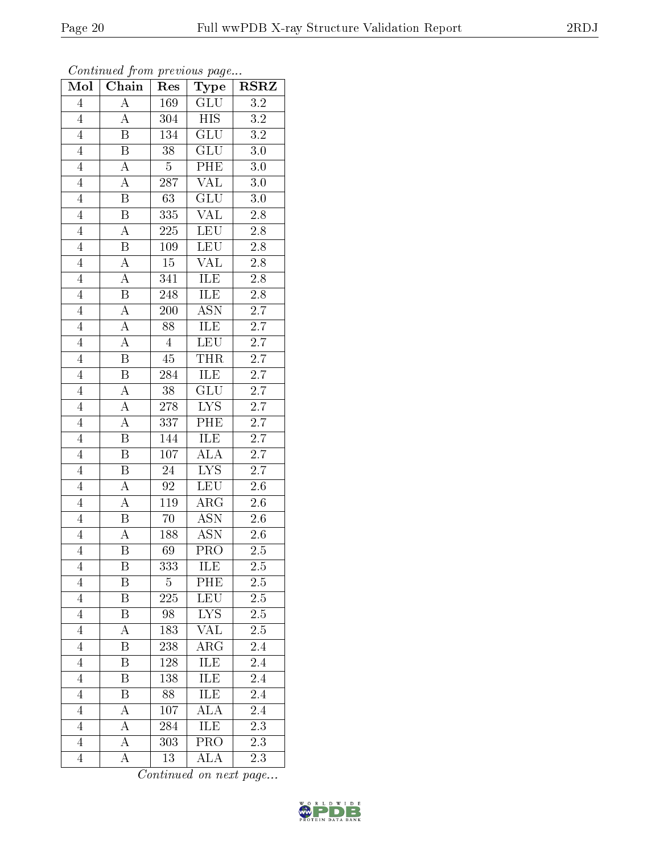| Mol            | Chain                   | Res              | Type                            | <b>RSRZ</b>      |
|----------------|-------------------------|------------------|---------------------------------|------------------|
| $\overline{4}$ | $\overline{\rm A}$      | 169              | $\overline{\text{GLU}}$         | $\overline{3.2}$ |
| $\overline{4}$ | A                       | 304              | <b>HIS</b>                      | $\overline{3.2}$ |
| $\overline{4}$ | $\overline{\mathrm{B}}$ | 134              | $\overline{\text{GLU}}$         | $\overline{3.2}$ |
| $\overline{4}$ | $\, {\bf B}$            | 38               | GLU                             | 3.0              |
| $\overline{4}$ | $\overline{A}$          | $\overline{5}$   | PHE                             | 3.0              |
| $\overline{4}$ | $\overline{\rm A}$      | 287              | <b>VAL</b>                      | 3.0              |
| $\overline{4}$ | $\overline{\mathrm{B}}$ | $\overline{63}$  | $\overline{{\rm GLU}}$          | 3.0              |
| $\overline{4}$ | $\overline{\mathbf{B}}$ | 335              | $\overline{\text{VAL}}$         | 2.8              |
| $\overline{4}$ | $\overline{\rm A}$      | 225              | <b>LEU</b>                      | 2.8              |
| $\overline{4}$ | $\overline{\mathrm{B}}$ | 109              | LEU                             | $2.\overline{8}$ |
| $\overline{4}$ | $\overline{\rm A}$      | $15\,$           | VAL                             | $\overline{2.8}$ |
| $\overline{4}$ | $\overline{\rm A}$      | 341              | <b>ILE</b>                      | $\overline{2.8}$ |
| $\overline{4}$ | $\overline{\mathrm{B}}$ | 248              | ILE                             | $\overline{2.8}$ |
| $\overline{4}$ | $\overline{\rm A}$      | 200              | <b>ASN</b>                      | 2.7              |
| $\overline{4}$ | $\overline{\rm A}$      | $\overline{88}$  | ILE                             | $\overline{2.7}$ |
| $\overline{4}$ | $\overline{\rm A}$      | $\overline{4}$   | <b>LEU</b>                      | $2.\overline{7}$ |
| $\overline{4}$ | $\overline{\mathrm{B}}$ | $\overline{45}$  | <b>THR</b>                      | $\overline{2.7}$ |
| $\overline{4}$ | Β                       | 284              | ILE                             | 2.7              |
| $\overline{4}$ | A                       | 38               | GLU                             | $\overline{2.7}$ |
| $\overline{4}$ | A                       | 278              | <b>LYS</b>                      | $2.7\,$          |
| $\overline{4}$ | A                       | 337              | PHE                             | $\overline{2.7}$ |
| $\overline{4}$ | $\overline{\mathrm{B}}$ | 144              | <b>ILE</b>                      | $\overline{2.7}$ |
| $\overline{4}$ | $\boldsymbol{B}$        | 107              | ALA                             | 2.7              |
| $\overline{4}$ | $\overline{\mathrm{B}}$ | 24               | $\overline{\text{L} \text{YS}}$ | $2.7\,$          |
| $\overline{4}$ | $\overline{\rm A}$      | 92               | LEU                             | 2.6              |
| $\overline{4}$ | $\overline{\rm A}$      | 119              | $\rm{ARG}$                      | $\overline{2.6}$ |
| $\overline{4}$ | Β                       | 70               | $\overline{\mathrm{ASN}}$       | $2.6\,$          |
| $\overline{4}$ | A                       | 188              | ASN                             | $2.6\,$          |
| $\overline{4}$ | Β                       | 69               | $\overline{\text{PRO}}$         | 2.5              |
| 4              | Β                       | $\overline{333}$ | ILE                             | $\overline{2.5}$ |
| $\overline{4}$ | Β                       | $\overline{5}$   | PHE                             | $2.5\,$          |
| $\overline{4}$ | Β                       | $\overline{225}$ | LEU                             | $\overline{2.5}$ |
| 4              | Β                       | 98               | ${\rm LYS}$                     | 2.5              |
| $\overline{4}$ | A                       | 183              | $\overline{\text{VAL}}$         | $\overline{2.5}$ |
| $\overline{4}$ | Β                       | 238              | $AR\overline{G}$                | 2.4              |
| $\overline{4}$ | B                       | 128              | <b>ILE</b>                      | $\overline{2.4}$ |
| $\overline{4}$ | Β                       | 138              | <b>ILE</b>                      | 2.4              |
| $\overline{4}$ | Β                       | 88               | ILE                             | 2.4              |
| $\overline{4}$ | А                       | 107              | $\overline{\rm ALA}$            | 2.4              |
| $\overline{4}$ | А                       | 284              | ILE                             | 2.3              |
| $\overline{4}$ | А                       | 303              | $\overline{\text{PRO}}$         | 2.3              |
| $\overline{4}$ | А                       | 13               | ALA                             | 2.3              |

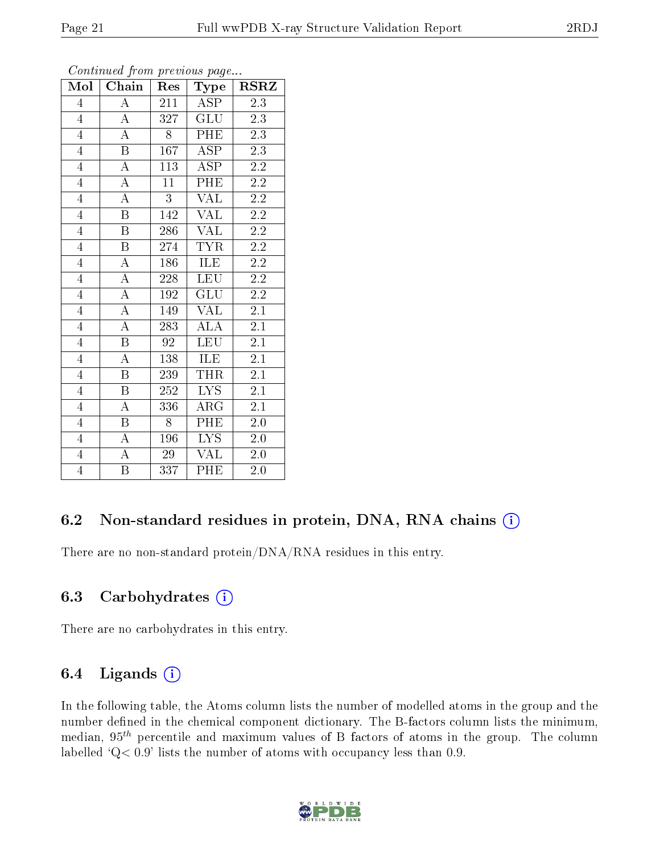| Mol            | Chain                   | Res              | Type                    | <b>RSRZ</b>      |
|----------------|-------------------------|------------------|-------------------------|------------------|
| $\overline{4}$ | $\boldsymbol{A}$        | 211              | ASP                     | $2.3\,$          |
| $\overline{4}$ | $\overline{A}$          | 327              | <b>GLU</b>              | $2.3\,$          |
| $\overline{4}$ | $\overline{\rm A}$      | 8                | <b>PHE</b>              | $2.3\,$          |
| $\overline{4}$ | $\, {\bf B}$            | 167              | $\overline{\rm ASP}$    | 2.3              |
| $\overline{4}$ | $\overline{\rm A}$      | $\overline{113}$ | $\overline{\text{ASP}}$ | $\overline{2.2}$ |
| $\overline{4}$ | $\overline{\rm A}$      | $\overline{11}$  | PHE                     | $\overline{2.2}$ |
| $\overline{4}$ | $\boldsymbol{A}$        | $\overline{3}$   | <b>VAL</b>              | $2.2\,$          |
| $\overline{4}$ | $\overline{\mathbf{B}}$ | 142              | <b>VAL</b>              | 2.2              |
| $\overline{4}$ | $\overline{B}$          | 286              | <b>VAL</b>              | $2.2\,$          |
| $\overline{4}$ | $\overline{\mathrm{B}}$ | 274              | <b>TYR</b>              | $\overline{2.2}$ |
| $\overline{4}$ | A                       | 186              | ILE                     | $2.2\,$          |
| $\overline{4}$ | $\overline{A}$          | 228              | <b>LEU</b>              | $2.2\,$          |
| $\overline{4}$ | $\overline{\rm A}$      | 192              | GLU                     | $2.2\,$          |
| $\overline{4}$ | $\overline{\rm A}$      | 149              | <b>VAL</b>              | $2.1\,$          |
| $\overline{4}$ | $\overline{\rm A}$      | 283              | $\overline{\rm ALA}$    | $2.\overline{1}$ |
| $\overline{4}$ | B                       | 92               | <b>LEU</b>              | $2.1\,$          |
| $\overline{4}$ | $\overline{\rm A}$      | 138              | ILE                     | 2.1              |
| $\overline{4}$ | $\boldsymbol{B}$        | 239              | <b>THR</b>              | $2.1\,$          |
| $\overline{4}$ | $\boldsymbol{B}$        | 252              | <b>LYS</b>              | 2.1              |
| $\overline{4}$ | $\overline{\rm A}$      | 336              | $AR\overline{G}$        | $2.\overline{1}$ |
| $\overline{4}$ | $\boldsymbol{B}$        | 8                | PHE                     | 2.0              |
| $\overline{4}$ | $\overline{\rm A}$      | 196              | $\overline{\text{LYS}}$ | $2.0\,$          |
| $\overline{4}$ | $\overline{\rm A}$      | 29               | <b>VAL</b>              | 2.0              |
| $\overline{4}$ | $\overline{\mathrm{B}}$ | 337              | PHE                     | 2.0              |

#### 6.2 Non-standard residues in protein, DNA, RNA chains  $(i)$

There are no non-standard protein/DNA/RNA residues in this entry.

#### 6.3 Carbohydrates  $(i)$

There are no carbohydrates in this entry.

#### 6.4 Ligands  $(i)$

In the following table, the Atoms column lists the number of modelled atoms in the group and the number defined in the chemical component dictionary. The B-factors column lists the minimum, median,  $95<sup>th</sup>$  percentile and maximum values of B factors of atoms in the group. The column labelled  $Q< 0.9$ ' lists the number of atoms with occupancy less than 0.9.